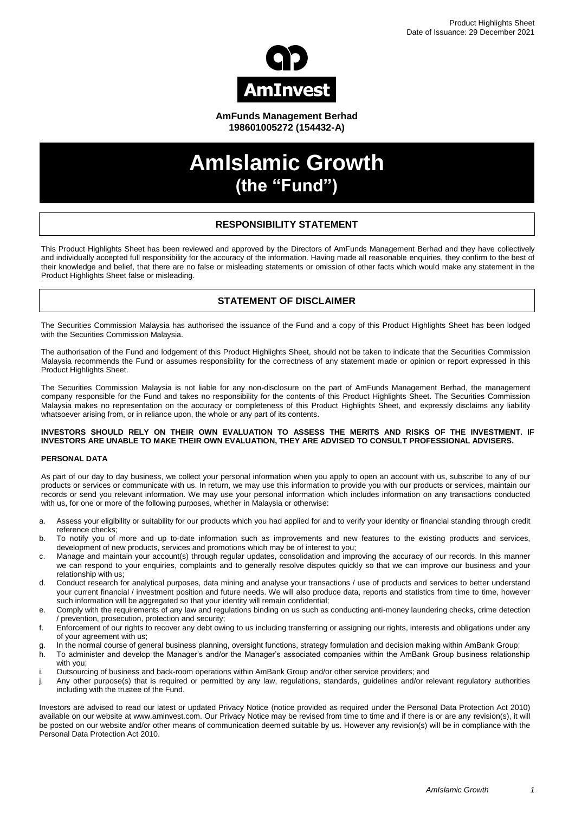

**AmFunds Management Berhad 198601005272 (154432-A)**

# **AmIslamic Growth (the "Fund")**

## **RESPONSIBILITY STATEMENT**

This Product Highlights Sheet has been reviewed and approved by the Directors of AmFunds Management Berhad and they have collectively and individually accepted full responsibility for the accuracy of the information. Having made all reasonable enquiries, they confirm to the best of their knowledge and belief, that there are no false or misleading statements or omission of other facts which would make any statement in the Product Highlights Sheet false or misleading.

## **STATEMENT OF DISCLAIMER**

The Securities Commission Malaysia has authorised the issuance of the Fund and a copy of this Product Highlights Sheet has been lodged with the Securities Commission Malaysia.

The authorisation of the Fund and lodgement of this Product Highlights Sheet, should not be taken to indicate that the Securities Commission Malaysia recommends the Fund or assumes responsibility for the correctness of any statement made or opinion or report expressed in this Product Highlights Sheet.

The Securities Commission Malaysia is not liable for any non-disclosure on the part of AmFunds Management Berhad, the management company responsible for the Fund and takes no responsibility for the contents of this Product Highlights Sheet. The Securities Commission Malaysia makes no representation on the accuracy or completeness of this Product Highlights Sheet, and expressly disclaims any liability whatsoever arising from, or in reliance upon, the whole or any part of its contents.

#### **INVESTORS SHOULD RELY ON THEIR OWN EVALUATION TO ASSESS THE MERITS AND RISKS OF THE INVESTMENT. IF INVESTORS ARE UNABLE TO MAKE THEIR OWN EVALUATION, THEY ARE ADVISED TO CONSULT PROFESSIONAL ADVISERS.**

#### **PERSONAL DATA**

As part of our day to day business, we collect your personal information when you apply to open an account with us, subscribe to any of our products or services or communicate with us. In return, we may use this information to provide you with our products or services, maintain our records or send you relevant information. We may use your personal information which includes information on any transactions conducted with us, for one or more of the following purposes, whether in Malaysia or otherwise:

- a. Assess your eligibility or suitability for our products which you had applied for and to verify your identity or financial standing through credit reference checks;
- b. To notify you of more and up to-date information such as improvements and new features to the existing products and services, development of new products, services and promotions which may be of interest to you;
- c. Manage and maintain your account(s) through regular updates, consolidation and improving the accuracy of our records. In this manner we can respond to your enquiries, complaints and to generally resolve disputes quickly so that we can improve our business and your relationship with us;
- d. Conduct research for analytical purposes, data mining and analyse your transactions / use of products and services to better understand your current financial / investment position and future needs. We will also produce data, reports and statistics from time to time, however such information will be aggregated so that your identity will remain confidential;
- e. Comply with the requirements of any law and regulations binding on us such as conducting anti-money laundering checks, crime detection / prevention, prosecution, protection and security;
- f. Enforcement of our rights to recover any debt owing to us including transferring or assigning our rights, interests and obligations under any of your agreement with us;
- g. In the normal course of general business planning, oversight functions, strategy formulation and decision making within AmBank Group;
- h. To administer and develop the Manager's and/or the Manager's associated companies within the AmBank Group business relationship with you;
- i. Outsourcing of business and back-room operations within AmBank Group and/or other service providers; and
- j. Any other purpose(s) that is required or permitted by any law, regulations, standards, guidelines and/or relevant regulatory authorities including with the trustee of the Fund.

Investors are advised to read our latest or updated Privacy Notice (notice provided as required under the Personal Data Protection Act 2010) available on our website at www.aminvest.com. Our Privacy Notice may be revised from time to time and if there is or are any revision(s), it will be posted on our website and/or other means of communication deemed suitable by us. However any revision(s) will be in compliance with the Personal Data Protection Act 2010.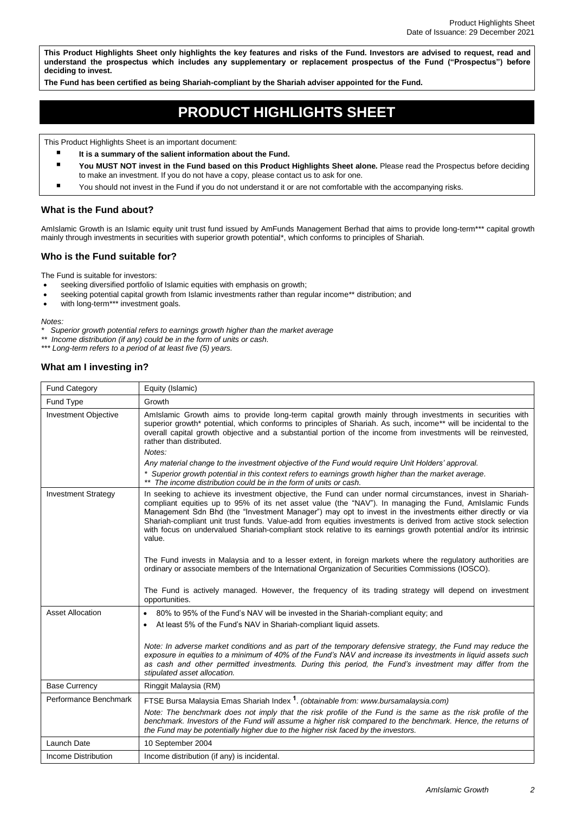**This Product Highlights Sheet only highlights the key features and risks of the Fund. Investors are advised to request, read and understand the prospectus which includes any supplementary or replacement prospectus of the Fund ("Prospectus") before deciding to invest.** 

**The Fund has been certified as being Shariah-compliant by the Shariah adviser appointed for the Fund.**

## **PRODUCT HIGHLIGHTS SHEET**

This Product Highlights Sheet is an important document:

- **It is a summary of the salient information about the Fund.**
- **You MUST NOT invest in the Fund based on this Product Highlights Sheet alone.** Please read the Prospectus before deciding to make an investment. If you do not have a copy, please contact us to ask for one.
- You should not invest in the Fund if you do not understand it or are not comfortable with the accompanying risks.

## **What is the Fund about?**

AmIslamic Growth is an Islamic equity unit trust fund issued by AmFunds Management Berhad that aims to provide long-term\*\*\* capital growth mainly through investments in securities with superior growth potential\*, which conforms to principles of Shariah.

## **Who is the Fund suitable for?**

The Fund is suitable for investors:

- seeking diversified portfolio of Islamic equities with emphasis on growth;
- seeking potential capital growth from Islamic investments rather than regular income\*\* distribution; and
- with long-term\*\*\* investment goals.

*Notes:* 

*\* Superior growth potential refers to earnings growth higher than the market average*

*\*\* Income distribution (if any) could be in the form of units or cash.*

*\*\*\* Long-term refers to a period of at least five (5) years.*

## **What am I investing in?**

| <b>Fund Category</b>        | Equity (Islamic)                                                                                                                                                                                                                                                                                                                                                                                                                                                                                                                                                                                                                                                                                   |  |  |  |  |  |  |  |
|-----------------------------|----------------------------------------------------------------------------------------------------------------------------------------------------------------------------------------------------------------------------------------------------------------------------------------------------------------------------------------------------------------------------------------------------------------------------------------------------------------------------------------------------------------------------------------------------------------------------------------------------------------------------------------------------------------------------------------------------|--|--|--|--|--|--|--|
| Fund Type                   | Growth                                                                                                                                                                                                                                                                                                                                                                                                                                                                                                                                                                                                                                                                                             |  |  |  |  |  |  |  |
| <b>Investment Objective</b> | AmIslamic Growth aims to provide long-term capital growth mainly through investments in securities with<br>superior growth* potential, which conforms to principles of Shariah. As such, income** will be incidental to the<br>overall capital growth objective and a substantial portion of the income from investments will be reinvested,<br>rather than distributed.<br>Notes:                                                                                                                                                                                                                                                                                                                 |  |  |  |  |  |  |  |
|                             | Any material change to the investment objective of the Fund would require Unit Holders' approval.                                                                                                                                                                                                                                                                                                                                                                                                                                                                                                                                                                                                  |  |  |  |  |  |  |  |
|                             | * Superior growth potential in this context refers to earnings growth higher than the market average.<br>** The income distribution could be in the form of units or cash.                                                                                                                                                                                                                                                                                                                                                                                                                                                                                                                         |  |  |  |  |  |  |  |
| <b>Investment Strategy</b>  | In seeking to achieve its investment objective, the Fund can under normal circumstances, invest in Shariah-<br>compliant equities up to 95% of its net asset value (the "NAV"). In managing the Fund, AmIslamic Funds<br>Management Sdn Bhd (the "Investment Manager") may opt to invest in the investments either directly or via<br>Shariah-compliant unit trust funds. Value-add from equities investments is derived from active stock selection<br>with focus on undervalued Shariah-compliant stock relative to its earnings growth potential and/or its intrinsic<br>value.<br>The Fund invests in Malaysia and to a lesser extent, in foreign markets where the regulatory authorities are |  |  |  |  |  |  |  |
|                             | ordinary or associate members of the International Organization of Securities Commissions (IOSCO).                                                                                                                                                                                                                                                                                                                                                                                                                                                                                                                                                                                                 |  |  |  |  |  |  |  |
|                             | The Fund is actively managed. However, the frequency of its trading strategy will depend on investment<br>opportunities.                                                                                                                                                                                                                                                                                                                                                                                                                                                                                                                                                                           |  |  |  |  |  |  |  |
| <b>Asset Allocation</b>     | 80% to 95% of the Fund's NAV will be invested in the Shariah-compliant equity; and                                                                                                                                                                                                                                                                                                                                                                                                                                                                                                                                                                                                                 |  |  |  |  |  |  |  |
|                             | • At least 5% of the Fund's NAV in Shariah-compliant liquid assets.                                                                                                                                                                                                                                                                                                                                                                                                                                                                                                                                                                                                                                |  |  |  |  |  |  |  |
|                             | Note: In adverse market conditions and as part of the temporary defensive strategy, the Fund may reduce the<br>exposure in equities to a minimum of 40% of the Fund's NAV and increase its investments in liquid assets such<br>as cash and other permitted investments. During this period, the Fund's investment may differ from the<br>stipulated asset allocation.                                                                                                                                                                                                                                                                                                                             |  |  |  |  |  |  |  |
| <b>Base Currency</b>        | Ringgit Malaysia (RM)                                                                                                                                                                                                                                                                                                                                                                                                                                                                                                                                                                                                                                                                              |  |  |  |  |  |  |  |
| Performance Benchmark       | FTSE Bursa Malaysia Emas Shariah Index <sup>1</sup> . (obtainable from: www.bursamalaysia.com)                                                                                                                                                                                                                                                                                                                                                                                                                                                                                                                                                                                                     |  |  |  |  |  |  |  |
|                             | Note: The benchmark does not imply that the risk profile of the Fund is the same as the risk profile of the<br>benchmark. Investors of the Fund will assume a higher risk compared to the benchmark. Hence, the returns of<br>the Fund may be potentially higher due to the higher risk faced by the investors.                                                                                                                                                                                                                                                                                                                                                                                    |  |  |  |  |  |  |  |
| Launch Date                 | 10 September 2004                                                                                                                                                                                                                                                                                                                                                                                                                                                                                                                                                                                                                                                                                  |  |  |  |  |  |  |  |
| Income Distribution         | Income distribution (if any) is incidental.                                                                                                                                                                                                                                                                                                                                                                                                                                                                                                                                                                                                                                                        |  |  |  |  |  |  |  |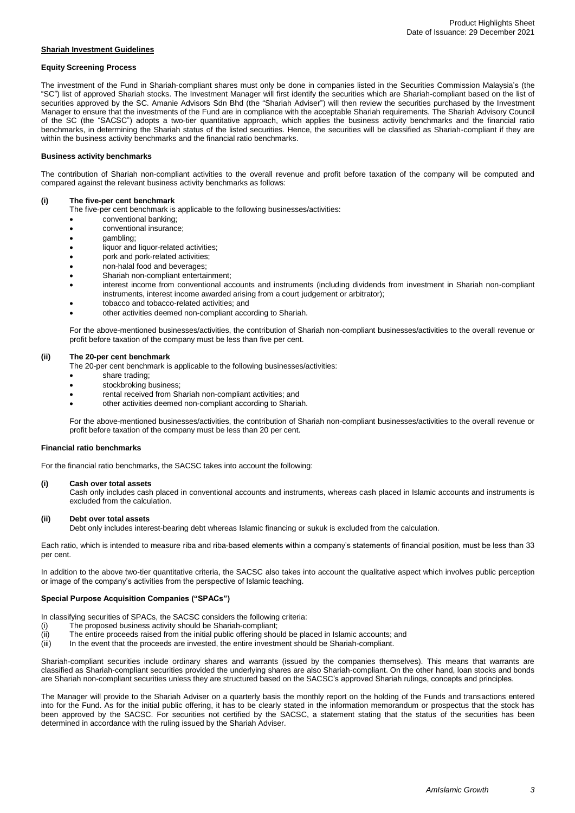#### **Shariah Investment Guidelines**

#### **Equity Screening Process**

The investment of the Fund in Shariah-compliant shares must only be done in companies listed in the Securities Commission Malaysia's (the "SC") list of approved Shariah stocks. The Investment Manager will first identify the securities which are Shariah-compliant based on the list of securities approved by the SC. Amanie Advisors Sdn Bhd (the "Shariah Adviser") will then review the securities purchased by the Investment Manager to ensure that the investments of the Fund are in compliance with the acceptable Shariah requirements. The Shariah Advisory Council of the SC (the "SACSC") adopts a two-tier quantitative approach, which applies the business activity benchmarks and the financial ratio benchmarks, in determining the Shariah status of the listed securities. Hence, the securities will be classified as Shariah-compliant if they are within the business activity benchmarks and the financial ratio benchmarks.

#### **Business activity benchmarks**

The contribution of Shariah non-compliant activities to the overall revenue and profit before taxation of the company will be computed and compared against the relevant business activity benchmarks as follows:

#### **(i) The five-per cent benchmark**

The five-per cent benchmark is applicable to the following businesses/activities:

- conventional banking;
- conventional insurance;
- gambling;
- liquor and liquor-related activities;
- pork and pork-related activities;
- non-halal food and beverages;
- Shariah non-compliant entertainment;
- interest income from conventional accounts and instruments (including dividends from investment in Shariah non-compliant instruments, interest income awarded arising from a court judgement or arbitrator);
- tobacco and tobacco-related activities; and
- other activities deemed non-compliant according to Shariah.

For the above-mentioned businesses/activities, the contribution of Shariah non-compliant businesses/activities to the overall revenue or profit before taxation of the company must be less than five per cent.

#### **(ii) The 20-per cent benchmark**

The 20-per cent benchmark is applicable to the following businesses/activities:

- share trading;
- stockbroking business;
- rental received from Shariah non-compliant activities; and
- other activities deemed non-compliant according to Shariah.

For the above-mentioned businesses/activities, the contribution of Shariah non-compliant businesses/activities to the overall revenue or profit before taxation of the company must be less than 20 per cent.

#### **Financial ratio benchmarks**

For the financial ratio benchmarks, the SACSC takes into account the following:

#### **(i) Cash over total assets**

Cash only includes cash placed in conventional accounts and instruments, whereas cash placed in Islamic accounts and instruments is excluded from the calculation.

#### **(ii) Debt over total assets**

Debt only includes interest-bearing debt whereas Islamic financing or sukuk is excluded from the calculation.

Each ratio, which is intended to measure riba and riba-based elements within a company's statements of financial position, must be less than 33 per cent.

In addition to the above two-tier quantitative criteria, the SACSC also takes into account the qualitative aspect which involves public perception or image of the company's activities from the perspective of Islamic teaching.

#### **Special Purpose Acquisition Companies ("SPACs")**

In classifying securities of SPACs, the SACSC considers the following criteria:

- (i) The proposed business activity should be Shariah-compliant;<br>(ii) The entire proceeds raised from the initial public offering shou
- The entire proceeds raised from the initial public offering should be placed in Islamic accounts; and
- (iii) In the event that the proceeds are invested, the entire investment should be Shariah-compliant.

Shariah-compliant securities include ordinary shares and warrants (issued by the companies themselves). This means that warrants are classified as Shariah-compliant securities provided the underlying shares are also Shariah-compliant. On the other hand, loan stocks and bonds are Shariah non-compliant securities unless they are structured based on the SACSC's approved Shariah rulings, concepts and principles.

The Manager will provide to the Shariah Adviser on a quarterly basis the monthly report on the holding of the Funds and transactions entered into for the Fund. As for the initial public offering, it has to be clearly stated in the information memorandum or prospectus that the stock has been approved by the SACSC. For securities not certified by the SACSC, a statement stating that the status of the securities has been determined in accordance with the ruling issued by the Shariah Adviser.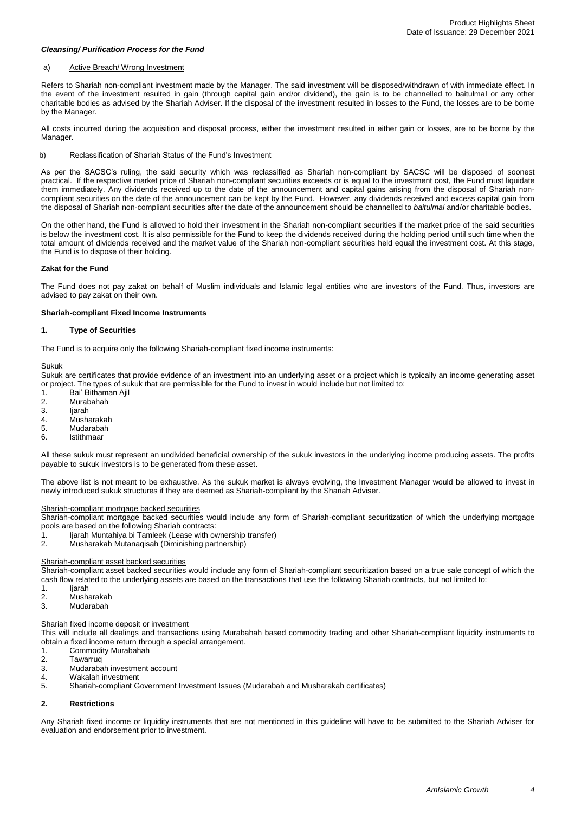#### *Cleansing/ Purification Process for the Fund*

#### a) Active Breach/ Wrong Investment

Refers to Shariah non-compliant investment made by the Manager. The said investment will be disposed/withdrawn of with immediate effect. In the event of the investment resulted in gain (through capital gain and/or dividend), the gain is to be channelled to baitulmal or any other charitable bodies as advised by the Shariah Adviser. If the disposal of the investment resulted in losses to the Fund, the losses are to be borne by the Manager.

All costs incurred during the acquisition and disposal process, either the investment resulted in either gain or losses, are to be borne by the Manager.

#### b) Reclassification of Shariah Status of the Fund's Investment

As per the SACSC's ruling, the said security which was reclassified as Shariah non-compliant by SACSC will be disposed of soonest practical. If the respective market price of Shariah non-compliant securities exceeds or is equal to the investment cost, the Fund must liquidate them immediately. Any dividends received up to the date of the announcement and capital gains arising from the disposal of Shariah noncompliant securities on the date of the announcement can be kept by the Fund. However, any dividends received and excess capital gain from the disposal of Shariah non-compliant securities after the date of the announcement should be channelled to *baitulmal* and/or charitable bodies.

On the other hand, the Fund is allowed to hold their investment in the Shariah non-compliant securities if the market price of the said securities is below the investment cost. It is also permissible for the Fund to keep the dividends received during the holding period until such time when the total amount of dividends received and the market value of the Shariah non-compliant securities held equal the investment cost. At this stage, the Fund is to dispose of their holding.

#### **Zakat for the Fund**

The Fund does not pay zakat on behalf of Muslim individuals and Islamic legal entities who are investors of the Fund. Thus, investors are advised to pay zakat on their own.

#### **Shariah-compliant Fixed Income Instruments**

#### **1. Type of Securities**

The Fund is to acquire only the following Shariah-compliant fixed income instruments:

#### **Sukuk**

Sukuk are certificates that provide evidence of an investment into an underlying asset or a project which is typically an income generating asset or project. The types of sukuk that are permissible for the Fund to invest in would include but not limited to:

- 1. Bai' Bithaman Ajil
- 2. Murabahah
- 3. Ijarah
- 4. Musharakah
- 5. Mudarabah
- 6. Istithmaar

All these sukuk must represent an undivided beneficial ownership of the sukuk investors in the underlying income producing assets. The profits payable to sukuk investors is to be generated from these asset.

The above list is not meant to be exhaustive. As the sukuk market is always evolving, the Investment Manager would be allowed to invest in newly introduced sukuk structures if they are deemed as Shariah-compliant by the Shariah Adviser.

#### Shariah-compliant mortgage backed securities

Shariah-compliant mortgage backed securities would include any form of Shariah-compliant securitization of which the underlying mortgage pools are based on the following Shariah contracts:

- 1. Ijarah Muntahiya bi Tamleek (Lease with ownership transfer)<br>2. Musharakah Mutanagisah (Diminishing partnership)
- 2. Musharakah Mutanaqisah (Diminishing partnership)

#### Shariah-compliant asset backed securities

Shariah-compliant asset backed securities would include any form of Shariah-compliant securitization based on a true sale concept of which the cash flow related to the underlying assets are based on the transactions that use the following Shariah contracts, but not limited to:

- 1. Ijarah
- 2. Musharakah
- 3. Mudarabah

#### Shariah fixed income deposit or investment

This will include all dealings and transactions using Murabahah based commodity trading and other Shariah-compliant liquidity instruments to obtain a fixed income return through a special arrangement.<br>1. Commodity Murabahah

- Commodity Murabahah
- 2. Tawarruq
- 3. Mudarabah investment account<br>4. Wakalah investment
- 4. Wakalah investment
- 5. Shariah-compliant Government Investment Issues (Mudarabah and Musharakah certificates)

#### **2. Restrictions**

Any Shariah fixed income or liquidity instruments that are not mentioned in this guideline will have to be submitted to the Shariah Adviser for evaluation and endorsement prior to investment.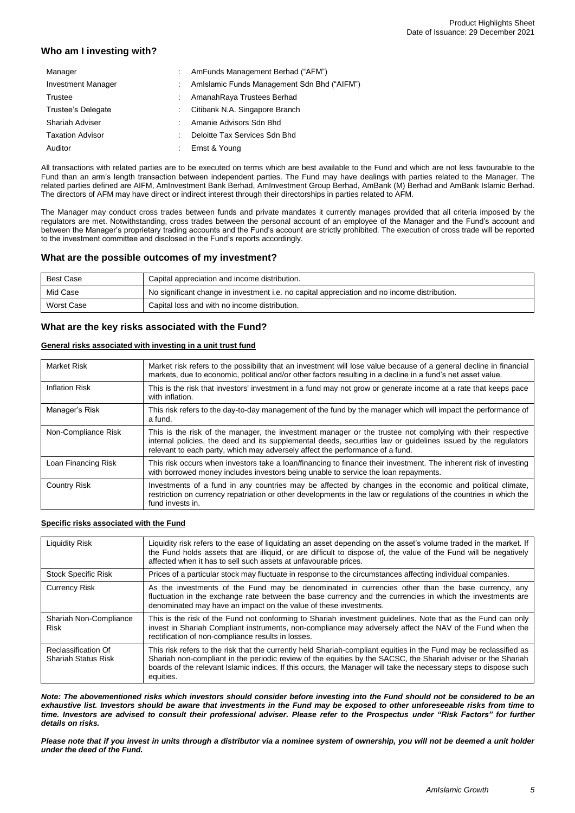## **Who am I investing with?**

| Manager                   | AmFunds Management Berhad ("AFM")           |
|---------------------------|---------------------------------------------|
| <b>Investment Manager</b> | Amislamic Funds Management Sdn Bhd ("AIFM") |
| Trustee                   | AmanahRaya Trustees Berhad                  |
| Trustee's Delegate        | Citibank N.A. Singapore Branch              |
| <b>Shariah Adviser</b>    | Amanie Advisors Sdn Bhd                     |
| <b>Taxation Advisor</b>   | Deloitte Tax Services Sdn Bhd               |
| Auditor                   | Ernst & Young                               |

All transactions with related parties are to be executed on terms which are best available to the Fund and which are not less favourable to the Fund than an arm's length transaction between independent parties. The Fund may have dealings with parties related to the Manager. The related parties defined are AIFM, AmInvestment Bank Berhad, AmInvestment Group Berhad, AmBank (M) Berhad and AmBank Islamic Berhad. The directors of AFM may have direct or indirect interest through their directorships in parties related to AFM.

The Manager may conduct cross trades between funds and private mandates it currently manages provided that all criteria imposed by the regulators are met. Notwithstanding, cross trades between the personal account of an employee of the Manager and the Fund's account and between the Manager's proprietary trading accounts and the Fund's account are strictly prohibited. The execution of cross trade will be reported to the investment committee and disclosed in the Fund's reports accordingly.

## **What are the possible outcomes of my investment?**

| Best Case  | Capital appreciation and income distribution.                                                |
|------------|----------------------------------------------------------------------------------------------|
| Mid Case   | No significant change in investment i.e. no capital appreciation and no income distribution. |
| Worst Case | Capital loss and with no income distribution.                                                |

## **What are the key risks associated with the Fund?**

## **General risks associated with investing in a unit trust fund**

| Market Risk           | Market risk refers to the possibility that an investment will lose value because of a general decline in financial<br>markets, due to economic, political and/or other factors resulting in a decline in a fund's net asset value.                                                                           |  |  |  |  |
|-----------------------|--------------------------------------------------------------------------------------------------------------------------------------------------------------------------------------------------------------------------------------------------------------------------------------------------------------|--|--|--|--|
| <b>Inflation Risk</b> | This is the risk that investors' investment in a fund may not grow or generate income at a rate that keeps pace<br>with inflation.                                                                                                                                                                           |  |  |  |  |
| Manager's Risk        | This risk refers to the day-to-day management of the fund by the manager which will impact the performance of<br>a fund.                                                                                                                                                                                     |  |  |  |  |
| Non-Compliance Risk   | This is the risk of the manager, the investment manager or the trustee not complying with their respective<br>internal policies, the deed and its supplemental deeds, securities law or guidelines issued by the regulators<br>relevant to each party, which may adversely affect the performance of a fund. |  |  |  |  |
| Loan Financing Risk   | This risk occurs when investors take a loan/financing to finance their investment. The inherent risk of investing<br>with borrowed money includes investors being unable to service the loan repayments.                                                                                                     |  |  |  |  |
| Country Risk          | Investments of a fund in any countries may be affected by changes in the economic and political climate,<br>restriction on currency repatriation or other developments in the law or regulations of the countries in which the<br>fund invests in.                                                           |  |  |  |  |

## **Specific risks associated with the Fund**

| <b>Liquidity Risk</b>                             | Liquidity risk refers to the ease of liquidating an asset depending on the asset's volume traded in the market. If<br>the Fund holds assets that are illiquid, or are difficult to dispose of, the value of the Fund will be negatively<br>affected when it has to sell such assets at unfavourable prices.                                                           |
|---------------------------------------------------|-----------------------------------------------------------------------------------------------------------------------------------------------------------------------------------------------------------------------------------------------------------------------------------------------------------------------------------------------------------------------|
| <b>Stock Specific Risk</b>                        | Prices of a particular stock may fluctuate in response to the circumstances affecting individual companies.                                                                                                                                                                                                                                                           |
| <b>Currency Risk</b>                              | As the investments of the Fund may be denominated in currencies other than the base currency, any<br>fluctuation in the exchange rate between the base currency and the currencies in which the investments are<br>denominated may have an impact on the value of these investments.                                                                                  |
| Shariah Non-Compliance<br><b>Risk</b>             | This is the risk of the Fund not conforming to Shariah investment quidelines. Note that as the Fund can only<br>invest in Shariah Compliant instruments, non-compliance may adversely affect the NAV of the Fund when the<br>rectification of non-compliance results in losses.                                                                                       |
| Reclassification Of<br><b>Shariah Status Risk</b> | This risk refers to the risk that the currently held Shariah-compliant equities in the Fund may be reclassified as<br>Shariah non-compliant in the periodic review of the equities by the SACSC, the Shariah adviser or the Shariah<br>boards of the relevant Islamic indices. If this occurs, the Manager will take the necessary steps to dispose such<br>equities. |

*Note: The abovementioned risks which investors should consider before investing into the Fund should not be considered to be an exhaustive list. Investors should be aware that investments in the Fund may be exposed to other unforeseeable risks from time to time. Investors are advised to consult their professional adviser. Please refer to the Prospectus under "Risk Factors" for further details on risks.*

*Please note that if you invest in units through a distributor via a nominee system of ownership, you will not be deemed a unit holder under the deed of the Fund.*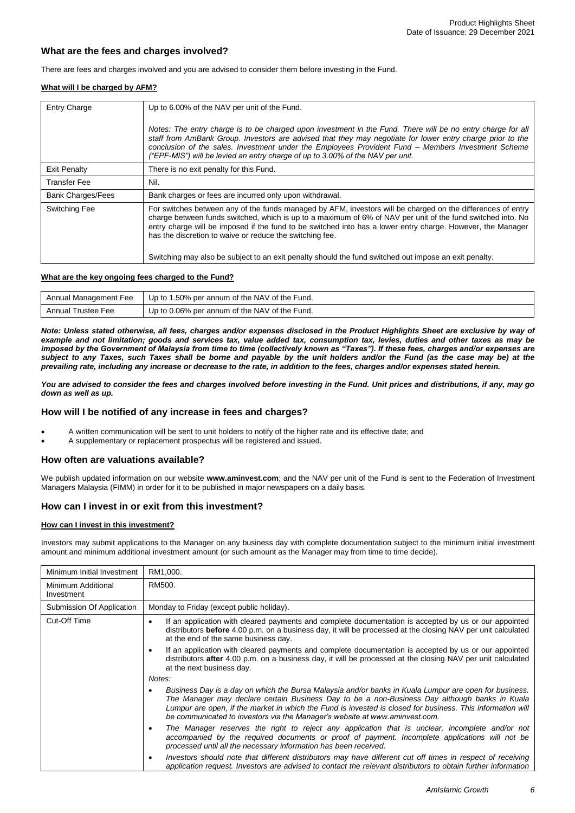## **What are the fees and charges involved?**

There are fees and charges involved and you are advised to consider them before investing in the Fund.

### **What will I be charged by AFM?**

| <b>Entry Charge</b>      | Up to 6.00% of the NAV per unit of the Fund.                                                                                                                                                                                                                                                                                                                                                                      |
|--------------------------|-------------------------------------------------------------------------------------------------------------------------------------------------------------------------------------------------------------------------------------------------------------------------------------------------------------------------------------------------------------------------------------------------------------------|
|                          | Notes: The entry charge is to be charged upon investment in the Fund. There will be no entry charge for all<br>staff from AmBank Group. Investors are advised that they may negotiate for lower entry charge prior to the<br>conclusion of the sales. Investment under the Employees Provident Fund – Members Investment Scheme<br>("EPF-MIS") will be levied an entry charge of up to 3.00% of the NAV per unit. |
| Exit Penalty             | There is no exit penalty for this Fund.                                                                                                                                                                                                                                                                                                                                                                           |
| <b>Transfer Fee</b>      | Nil.                                                                                                                                                                                                                                                                                                                                                                                                              |
| <b>Bank Charges/Fees</b> | Bank charges or fees are incurred only upon withdrawal.                                                                                                                                                                                                                                                                                                                                                           |
| Switching Fee            | For switches between any of the funds managed by AFM, investors will be charged on the differences of entry<br>charge between funds switched, which is up to a maximum of 6% of NAV per unit of the fund switched into. No<br>entry charge will be imposed if the fund to be switched into has a lower entry charge. However, the Manager<br>has the discretion to waive or reduce the switching fee.             |
|                          | Switching may also be subject to an exit penalty should the fund switched out impose an exit penalty.                                                                                                                                                                                                                                                                                                             |

#### **What are the key ongoing fees charged to the Fund?**

| Annual Management Fee | Up to 1.50% per annum of the NAV of the Fund. |
|-----------------------|-----------------------------------------------|
| Annual Trustee Fee    | Up to 0.06% per annum of the NAV of the Fund. |

*Note: Unless stated otherwise, all fees, charges and/or expenses disclosed in the Product Highlights Sheet are exclusive by way of example and not limitation; goods and services tax, value added tax, consumption tax, levies, duties and other taxes as may be imposed by the Government of Malaysia from time to time (collectively known as "Taxes"). If these fees, charges and/or expenses are subject to any Taxes, such Taxes shall be borne and payable by the unit holders and/or the Fund (as the case may be) at the prevailing rate, including any increase or decrease to the rate, in addition to the fees, charges and/or expenses stated herein.*

*You are advised to consider the fees and charges involved before investing in the Fund. Unit prices and distributions, if any, may go down as well as up.*

## **How will I be notified of any increase in fees and charges?**

- A written communication will be sent to unit holders to notify of the higher rate and its effective date; and
- A supplementary or replacement prospectus will be registered and issued.

## **How often are valuations available?**

We publish updated information on our website **www.aminvest.com**; and the NAV per unit of the Fund is sent to the Federation of Investment Managers Malaysia (FIMM) in order for it to be published in major newspapers on a daily basis.

## **How can I invest in or exit from this investment?**

#### **How can I invest in this investment?**

Investors may submit applications to the Manager on any business day with complete documentation subject to the minimum initial investment amount and minimum additional investment amount (or such amount as the Manager may from time to time decide).

| Minimum Initial Investment       | RM1.000.                                                                                                                                                                                                                                                                                                                                                                                            |  |  |  |  |  |
|----------------------------------|-----------------------------------------------------------------------------------------------------------------------------------------------------------------------------------------------------------------------------------------------------------------------------------------------------------------------------------------------------------------------------------------------------|--|--|--|--|--|
| Minimum Additional<br>Investment | RM500.                                                                                                                                                                                                                                                                                                                                                                                              |  |  |  |  |  |
| Submission Of Application        | Monday to Friday (except public holiday).                                                                                                                                                                                                                                                                                                                                                           |  |  |  |  |  |
| Cut-Off Time                     | If an application with cleared payments and complete documentation is accepted by us or our appointed<br>distributors before 4.00 p.m. on a business day, it will be processed at the closing NAV per unit calculated<br>at the end of the same business day.                                                                                                                                       |  |  |  |  |  |
|                                  | If an application with cleared payments and complete documentation is accepted by us or our appointed<br>distributors after 4.00 p.m. on a business day, it will be processed at the closing NAV per unit calculated<br>at the next business day.                                                                                                                                                   |  |  |  |  |  |
|                                  | Notes:                                                                                                                                                                                                                                                                                                                                                                                              |  |  |  |  |  |
|                                  | Business Day is a day on which the Bursa Malaysia and/or banks in Kuala Lumpur are open for business.<br>The Manager may declare certain Business Day to be a non-Business Day although banks in Kuala<br>Lumpur are open, if the market in which the Fund is invested is closed for business. This information will<br>be communicated to investors via the Manager's website at www.aminvest.com. |  |  |  |  |  |
|                                  | The Manager reserves the right to reject any application that is unclear, incomplete and/or not<br>accompanied by the required documents or proof of payment. Incomplete applications will not be<br>processed until all the necessary information has been received.                                                                                                                               |  |  |  |  |  |
|                                  | Investors should note that different distributors may have different cut off times in respect of receiving<br>application request. Investors are advised to contact the relevant distributors to obtain further information                                                                                                                                                                         |  |  |  |  |  |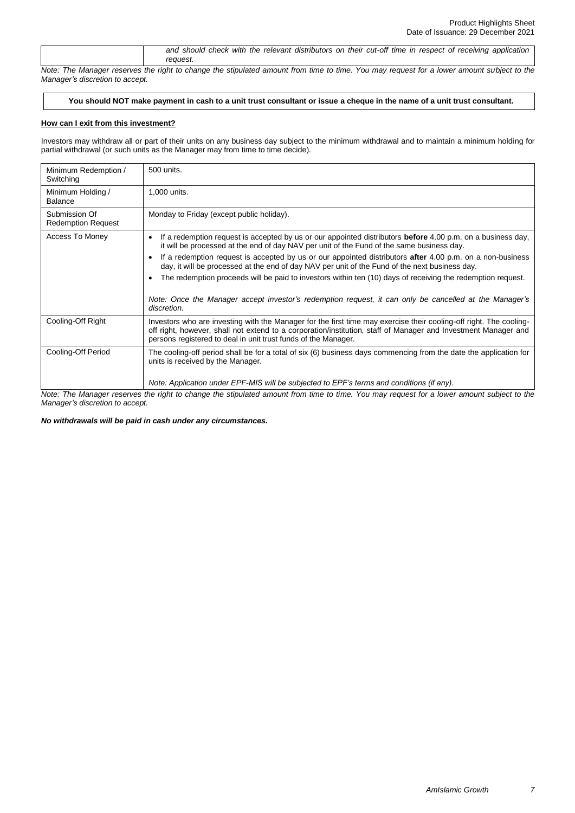| I should check with the relevant distributors on their cut-off time in respect of receiving $\cdot$<br>application<br>and |
|---------------------------------------------------------------------------------------------------------------------------|
| reauest.                                                                                                                  |

*Note: The Manager reserves the right to change the stipulated amount from time to time. You may request for a lower amount subject to the Manager's discretion to accept.*

## **You should NOT make payment in cash to a unit trust consultant or issue a cheque in the name of a unit trust consultant.**

## **How can I exit from this investment?**

Investors may withdraw all or part of their units on any business day subject to the minimum withdrawal and to maintain a minimum holding for partial withdrawal (or such units as the Manager may from time to time decide).

| Minimum Redemption /<br>Switching          | 500 units.                                                                                                                                                                                                                                                                                             |  |  |  |  |  |
|--------------------------------------------|--------------------------------------------------------------------------------------------------------------------------------------------------------------------------------------------------------------------------------------------------------------------------------------------------------|--|--|--|--|--|
| Minimum Holding /<br><b>Balance</b>        | 1,000 units.                                                                                                                                                                                                                                                                                           |  |  |  |  |  |
| Submission Of<br><b>Redemption Request</b> | Monday to Friday (except public holiday).                                                                                                                                                                                                                                                              |  |  |  |  |  |
| Access To Money                            | If a redemption request is accepted by us or our appointed distributors <b>before</b> 4.00 p.m. on a business day,<br>$\bullet$<br>it will be processed at the end of day NAV per unit of the Fund of the same business day.                                                                           |  |  |  |  |  |
|                                            | If a redemption request is accepted by us or our appointed distributors after 4.00 p.m. on a non-business<br>$\epsilon$<br>day, it will be processed at the end of day NAV per unit of the Fund of the next business day.                                                                              |  |  |  |  |  |
|                                            | The redemption proceeds will be paid to investors within ten (10) days of receiving the redemption request.<br>$\bullet$                                                                                                                                                                               |  |  |  |  |  |
|                                            | Note: Once the Manager accept investor's redemption request, it can only be cancelled at the Manager's<br>discretion.                                                                                                                                                                                  |  |  |  |  |  |
| Cooling-Off Right                          | Investors who are investing with the Manager for the first time may exercise their cooling-off right. The cooling-<br>off right, however, shall not extend to a corporation/institution, staff of Manager and Investment Manager and<br>persons registered to deal in unit trust funds of the Manager. |  |  |  |  |  |
| Cooling-Off Period                         | The cooling-off period shall be for a total of six (6) business days commencing from the date the application for<br>units is received by the Manager.                                                                                                                                                 |  |  |  |  |  |
|                                            | Note: Application under EPF-MIS will be subjected to EPF's terms and conditions (if any).                                                                                                                                                                                                              |  |  |  |  |  |

*Note: The Manager reserves the right to change the stipulated amount from time to time. You may request for a lower amount subject to the Manager's discretion to accept.*

*No withdrawals will be paid in cash under any circumstances.*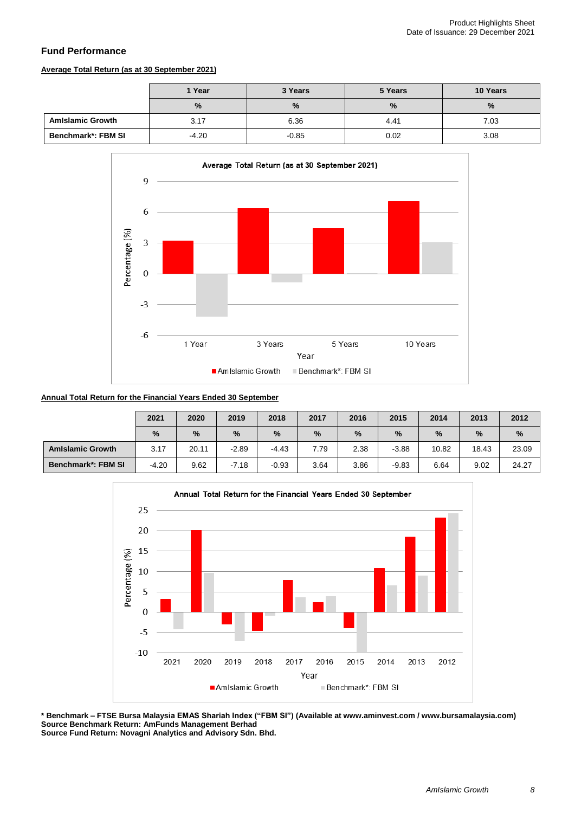## **Fund Performance**

## **Average Total Return (as at 30 September 2021)**

|                           | ∣ Year        | 3 Years | 5 Years       | 10 Years |  |
|---------------------------|---------------|---------|---------------|----------|--|
|                           | $\frac{9}{6}$ | $\%$    | $\frac{9}{6}$ | %        |  |
| <b>Amislamic Growth</b>   | 3.17          | 6.36    | 4.41          | 7.03     |  |
| <b>Benchmark*: FBM SI</b> | $-4.20$       | $-0.85$ | 0.02          | 3.08     |  |



## **Annual Total Return for the Financial Years Ended 30 September**

|                           | 2021    | 2020          | 2019    | 2018          | 2017 | 2016          | 2015          | 2014          | 2013          | 2012          |
|---------------------------|---------|---------------|---------|---------------|------|---------------|---------------|---------------|---------------|---------------|
|                           | $\%$    | $\frac{9}{6}$ | $\%$    | $\frac{9}{6}$ | $\%$ | $\frac{9}{6}$ | $\frac{9}{6}$ | $\frac{9}{6}$ | $\frac{9}{6}$ | $\frac{9}{6}$ |
| <b>Amislamic Growth</b>   | 3.17    | 20.11         | $-2.89$ | $-4.43$       | 7.79 | 2.38          | $-3.88$       | 10.82         | 18.43         | 23.09         |
| <b>Benchmark*: FBM SI</b> | $-4.20$ | 9.62          | $-7.18$ | $-0.93$       | 3.64 | 3.86          | $-9.83$       | 6.64          | 9.02          | 24.27         |



**\* Benchmark – FTSE Bursa Malaysia EMAS Shariah Index ("FBM SI") (Available at www.aminvest.com / www.bursamalaysia.com) Source Benchmark Return: AmFunds Management Berhad Source Fund Return: Novagni Analytics and Advisory Sdn. Bhd.**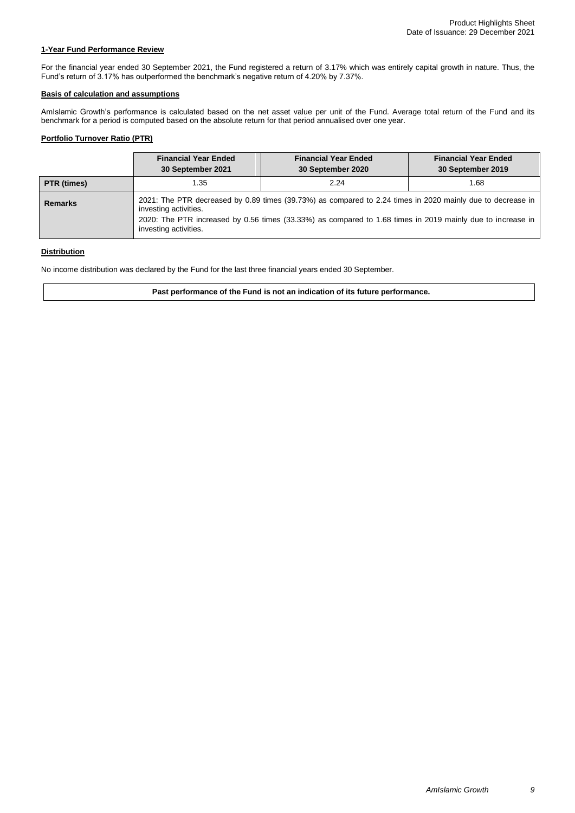## **1-Year Fund Performance Review**

For the financial year ended 30 September 2021, the Fund registered a return of 3.17% which was entirely capital growth in nature. Thus, the Fund's return of 3.17% has outperformed the benchmark's negative return of 4.20% by 7.37%.

#### **Basis of calculation and assumptions**

AmIslamic Growth's performance is calculated based on the net asset value per unit of the Fund. Average total return of the Fund and its benchmark for a period is computed based on the absolute return for that period annualised over one year.

## **Portfolio Turnover Ratio (PTR)**

|                    | <b>Financial Year Ended</b><br>30 September 2021                                                                                                                                                                                                                           | <b>Financial Year Ended</b><br>30 September 2020 | <b>Financial Year Ended</b><br>30 September 2019 |
|--------------------|----------------------------------------------------------------------------------------------------------------------------------------------------------------------------------------------------------------------------------------------------------------------------|--------------------------------------------------|--------------------------------------------------|
| <b>PTR</b> (times) | 1.35                                                                                                                                                                                                                                                                       | 2.24                                             | 1.68                                             |
| <b>Remarks</b>     | 2021: The PTR decreased by 0.89 times (39.73%) as compared to 2.24 times in 2020 mainly due to decrease in<br>investing activities.<br>2020: The PTR increased by 0.56 times (33.33%) as compared to 1.68 times in 2019 mainly due to increase in<br>investing activities. |                                                  |                                                  |

## **Distribution**

No income distribution was declared by the Fund for the last three financial years ended 30 September.

**Past performance of the Fund is not an indication of its future performance.**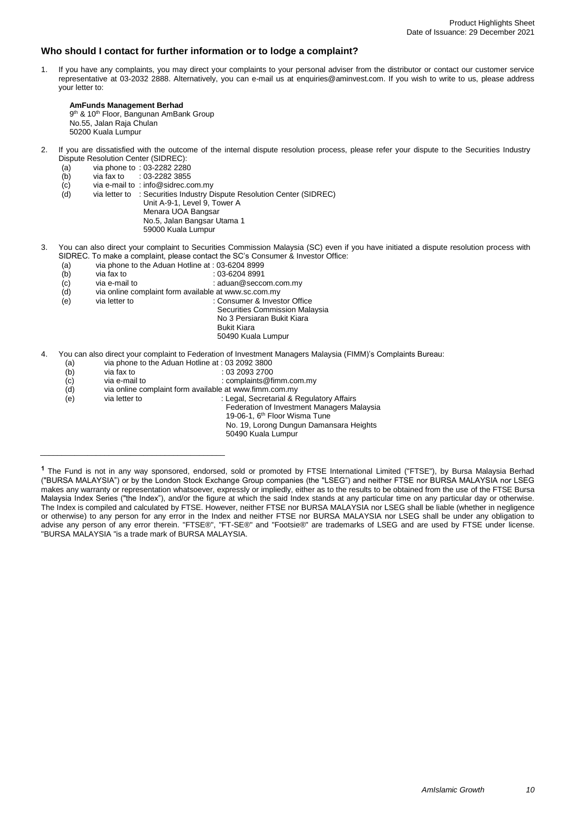## **Who should I contact for further information or to lodge a complaint?**

1. If you have any complaints, you may direct your complaints to your personal adviser from the distributor or contact our customer service representative at 03-2032 2888. Alternatively, you can e-mail us at enquiries@aminvest.com. If you wish to write to us, please address your letter to:

**AmFunds Management Berhad**  9<sup>th</sup> & 10<sup>th</sup> Floor, Bangunan AmBank Group No.55, Jalan Raja Chulan 50200 Kuala Lumpur

- 2. If you are dissatisfied with the outcome of the internal dispute resolution process, please refer your dispute to the Securities Industry Dispute Resolution Center (SIDREC):
	- (a) via phone to : 03-2282 2280<br>(b) via fax to : 03-2282 3855
	- (b) via fax to : 03-2282 3855
	- (c) via e-mail to : info@sidrec.com.my
	- (d) via letter to : Securities Industry Dispute Resolution Center (SIDREC) Unit A-9-1, Level 9, Tower A Menara UOA Bangsar No.5, Jalan Bangsar Utama 1 59000 Kuala Lumpur
- 3. You can also direct your complaint to Securities Commission Malaysia (SC) even if you have initiated a dispute resolution process with SIDREC. To make a complaint, please contact the SC's Consumer & Investor Office:
	- (a) via phone to the Aduan Hotline at  $: 03-62048999$ <br>(b) via fax to  $: 03-62048991$
	- $: 03 62048991$
	- (c) via e-mail to : aduan@seccom.com.my
	- (d) via online complaint form available at www.sc.com.my<br>(e) via letter to : Consumer & Invest
	- : Consumer & Investor Office
		- Securities Commission Malaysia
			- No 3 Persiaran Bukit Kiara
			- Bukit Kiara 50490 Kuala Lumpur
		-
- 4. You can also direct your complaint to Federation of Investment Managers Malaysia (FIMM)'s Complaints Bureau:
	- (a) via phone to the Aduan Hotline at : 03 2092 3800<br>(b) via fax to  $(32093 \cdot 2700)$
	- via fax to : 03 2093 2700<br>via e-mail to : complaints@fi
	- (c) via e-mail to  $\qquad \qquad :$  complaints@fimm.com.my

\_\_\_\_\_\_\_\_\_\_\_\_\_\_\_\_\_\_\_\_\_\_\_\_\_\_\_\_\_\_\_\_\_\_\_\_\_\_\_\_\_\_\_

- (d) via online complaint form available at www.fimm.com.my
- (e) via letter to : Legal, Secretarial & Regulatory Affairs Federation of Investment Managers Malaysia 19-06-1, 6<sup>th</sup> Floor Wisma Tune No. 19, Lorong Dungun Damansara Heights 50490 Kuala Lumpur

**<sup>1</sup>**The Fund is not in any way sponsored, endorsed, sold or promoted by FTSE International Limited ("FTSE"), by Bursa Malaysia Berhad ("BURSA MALAYSIA") or by the London Stock Exchange Group companies (the "LSEG") and neither FTSE nor BURSA MALAYSIA nor LSEG makes any warranty or representation whatsoever, expressly or impliedly, either as to the results to be obtained from the use of the FTSE Bursa Malaysia Index Series ("the Index"), and/or the figure at which the said Index stands at any particular time on any particular day or otherwise. The Index is compiled and calculated by FTSE. However, neither FTSE nor BURSA MALAYSIA nor LSEG shall be liable (whether in negligence or otherwise) to any person for any error in the Index and neither FTSE nor BURSA MALAYSIA nor LSEG shall be under any obligation to advise any person of any error therein. "FTSE®", "FT-SE®" and "Footsie®" are trademarks of LSEG and are used by FTSE under license. "BURSA MALAYSIA "is a trade mark of BURSA MALAYSIA.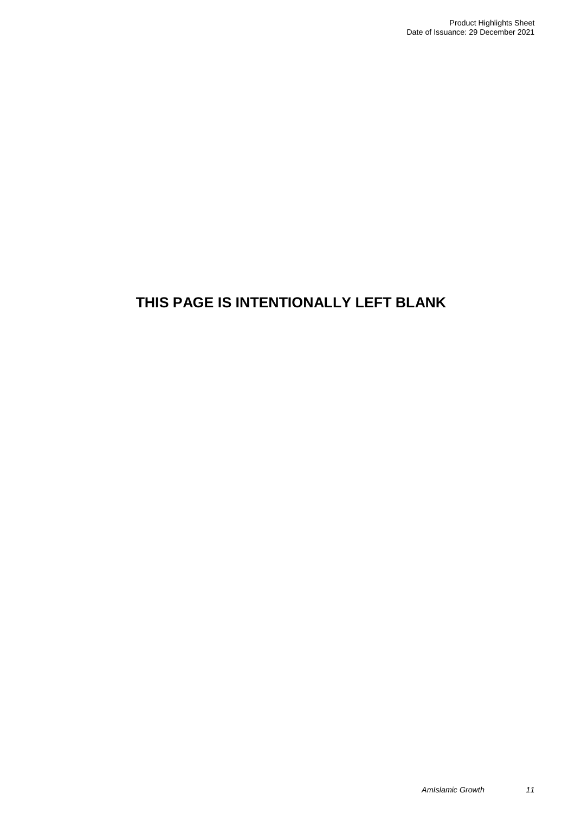## **THIS PAGE IS INTENTIONALLY LEFT BLANK**